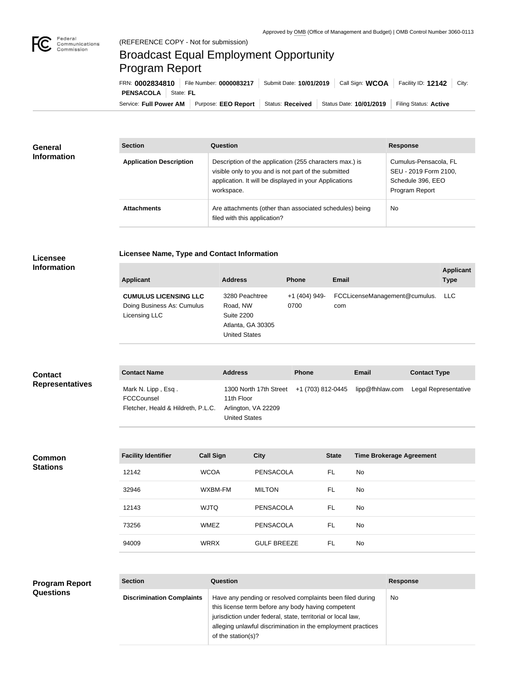

## Broadcast Equal Employment Opportunity Program Report

**Licensee Name, Type and Contact Information**

Service: Full Power AM | Purpose: EEO Report | Status: Received | Status Date: 10/01/2019 | Filing Status: Active **PENSACOLA** State: FL FRN: **0002834810** File Number: **0000083217** Submit Date: **10/01/2019** Call Sign: **WCOA** Facility ID: **12142** City:

| <b>General</b><br><b>Information</b> | <b>Section</b>                 | <b>Question</b>                                                                                                                                                                         | <b>Response</b>                                                                       |  |
|--------------------------------------|--------------------------------|-----------------------------------------------------------------------------------------------------------------------------------------------------------------------------------------|---------------------------------------------------------------------------------------|--|
|                                      | <b>Application Description</b> | Description of the application (255 characters max.) is<br>visible only to you and is not part of the submitted<br>application. It will be displayed in your Applications<br>workspace. | Cumulus-Pensacola, FL<br>SEU - 2019 Form 2100,<br>Schedule 396, EEO<br>Program Report |  |
|                                      | <b>Attachments</b>             | Are attachments (other than associated schedules) being<br>filed with this application?                                                                                                 | <b>No</b>                                                                             |  |

## **Licensee Information**

| <b>Applicant</b>                                                            | <b>Address</b>                                                                               | <b>Phone</b>          | <b>Email</b>                         | <b>Applicant</b><br><b>Type</b> |
|-----------------------------------------------------------------------------|----------------------------------------------------------------------------------------------|-----------------------|--------------------------------------|---------------------------------|
| <b>CUMULUS LICENSING LLC</b><br>Doing Business As: Cumulus<br>Licensing LLC | 3280 Peachtree<br>Road, NW<br><b>Suite 2200</b><br>Atlanta, GA 30305<br><b>United States</b> | +1 (404) 949-<br>0700 | FCCLicenseManagement@cumulus.<br>com | <b>LLC</b>                      |

| <b>Contact</b>         | <b>Contact Name</b>                                                    | <b>Address</b>                                                                                                 | <b>Phone</b> | <b>Email</b> | <b>Contact Type</b>  |
|------------------------|------------------------------------------------------------------------|----------------------------------------------------------------------------------------------------------------|--------------|--------------|----------------------|
| <b>Representatives</b> | Mark N. Lipp, Esq.<br>FCCCounsel<br>Fletcher, Heald & Hildreth, P.L.C. | 1300 North 17th Street +1 (703) 812-0445 lipp@fhhlaw.com<br>11th Floor<br>Arlington, VA 22209<br>United States |              |              | Legal Representative |

**Common Stations**

| <b>Facility Identifier</b> | <b>Call Sign</b> | <b>City</b>        | <b>State</b> | <b>Time Brokerage Agreement</b> |
|----------------------------|------------------|--------------------|--------------|---------------------------------|
| 12142                      | <b>WCOA</b>      | PENSACOLA          | FL           | No.                             |
| 32946                      | WXBM-FM          | <b>MILTON</b>      | FL           | No.                             |
| 12143                      | <b>WJTQ</b>      | PENSACOLA          | FL.          | No.                             |
| 73256                      | <b>WMEZ</b>      | PENSACOLA          | FL.          | No.                             |
| 94009                      | <b>WRRX</b>      | <b>GULF BREEZE</b> | FL           | No.                             |

## **Program Report Questions**

| <b>Section</b>                   | Question                                                                                                                                                                                                                                                              | <b>Response</b> |
|----------------------------------|-----------------------------------------------------------------------------------------------------------------------------------------------------------------------------------------------------------------------------------------------------------------------|-----------------|
| <b>Discrimination Complaints</b> | Have any pending or resolved complaints been filed during<br>this license term before any body having competent<br>jurisdiction under federal, state, territorial or local law,<br>alleging unlawful discrimination in the employment practices<br>of the station(s)? | No.             |